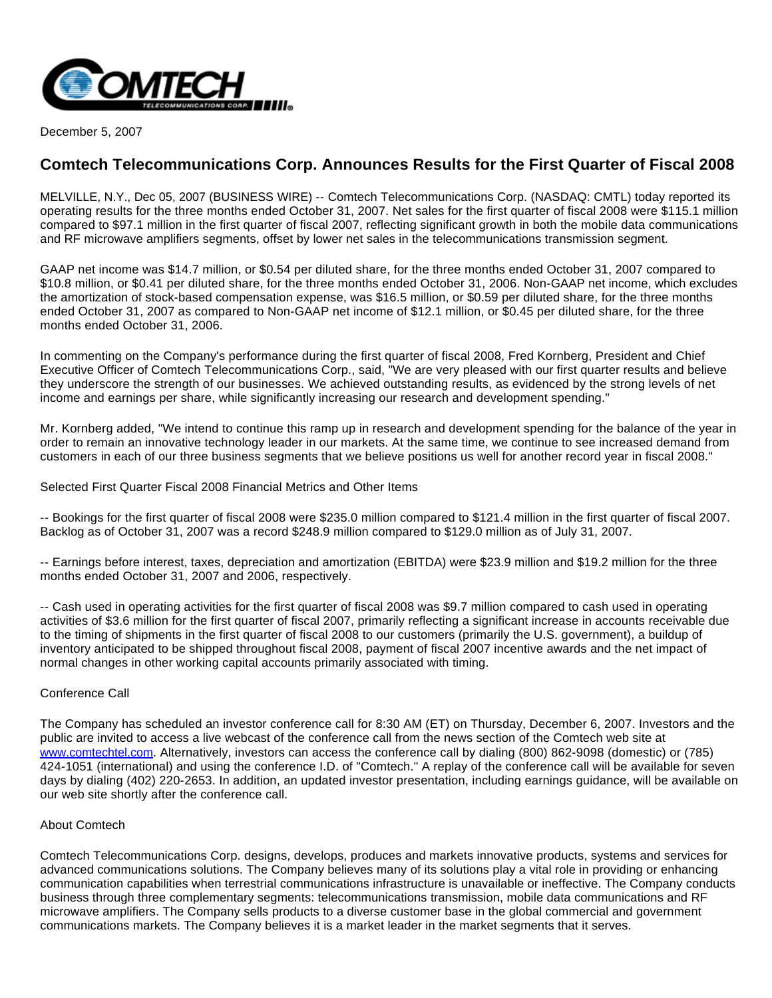

December 5, 2007

# **Comtech Telecommunications Corp. Announces Results for the First Quarter of Fiscal 2008**

MELVILLE, N.Y., Dec 05, 2007 (BUSINESS WIRE) -- Comtech Telecommunications Corp. (NASDAQ: CMTL) today reported its operating results for the three months ended October 31, 2007. Net sales for the first quarter of fiscal 2008 were \$115.1 million compared to \$97.1 million in the first quarter of fiscal 2007, reflecting significant growth in both the mobile data communications and RF microwave amplifiers segments, offset by lower net sales in the telecommunications transmission segment.

GAAP net income was \$14.7 million, or \$0.54 per diluted share, for the three months ended October 31, 2007 compared to \$10.8 million, or \$0.41 per diluted share, for the three months ended October 31, 2006. Non-GAAP net income, which excludes the amortization of stock-based compensation expense, was \$16.5 million, or \$0.59 per diluted share, for the three months ended October 31, 2007 as compared to Non-GAAP net income of \$12.1 million, or \$0.45 per diluted share, for the three months ended October 31, 2006.

In commenting on the Company's performance during the first quarter of fiscal 2008, Fred Kornberg, President and Chief Executive Officer of Comtech Telecommunications Corp., said, "We are very pleased with our first quarter results and believe they underscore the strength of our businesses. We achieved outstanding results, as evidenced by the strong levels of net income and earnings per share, while significantly increasing our research and development spending."

Mr. Kornberg added, "We intend to continue this ramp up in research and development spending for the balance of the year in order to remain an innovative technology leader in our markets. At the same time, we continue to see increased demand from customers in each of our three business segments that we believe positions us well for another record year in fiscal 2008."

Selected First Quarter Fiscal 2008 Financial Metrics and Other Items

-- Bookings for the first quarter of fiscal 2008 were \$235.0 million compared to \$121.4 million in the first quarter of fiscal 2007. Backlog as of October 31, 2007 was a record \$248.9 million compared to \$129.0 million as of July 31, 2007.

-- Earnings before interest, taxes, depreciation and amortization (EBITDA) were \$23.9 million and \$19.2 million for the three months ended October 31, 2007 and 2006, respectively.

-- Cash used in operating activities for the first quarter of fiscal 2008 was \$9.7 million compared to cash used in operating activities of \$3.6 million for the first quarter of fiscal 2007, primarily reflecting a significant increase in accounts receivable due to the timing of shipments in the first quarter of fiscal 2008 to our customers (primarily the U.S. government), a buildup of inventory anticipated to be shipped throughout fiscal 2008, payment of fiscal 2007 incentive awards and the net impact of normal changes in other working capital accounts primarily associated with timing.

## Conference Call

The Company has scheduled an investor conference call for 8:30 AM (ET) on Thursday, December 6, 2007. Investors and the public are invited to access a live webcast of the conference call from the news section of the Comtech web site at [www.comtechtel.com](http://www.comtechtel.com/). Alternatively, investors can access the conference call by dialing (800) 862-9098 (domestic) or (785) 424-1051 (international) and using the conference I.D. of "Comtech." A replay of the conference call will be available for seven days by dialing (402) 220-2653. In addition, an updated investor presentation, including earnings guidance, will be available on our web site shortly after the conference call.

## About Comtech

Comtech Telecommunications Corp. designs, develops, produces and markets innovative products, systems and services for advanced communications solutions. The Company believes many of its solutions play a vital role in providing or enhancing communication capabilities when terrestrial communications infrastructure is unavailable or ineffective. The Company conducts business through three complementary segments: telecommunications transmission, mobile data communications and RF microwave amplifiers. The Company sells products to a diverse customer base in the global commercial and government communications markets. The Company believes it is a market leader in the market segments that it serves.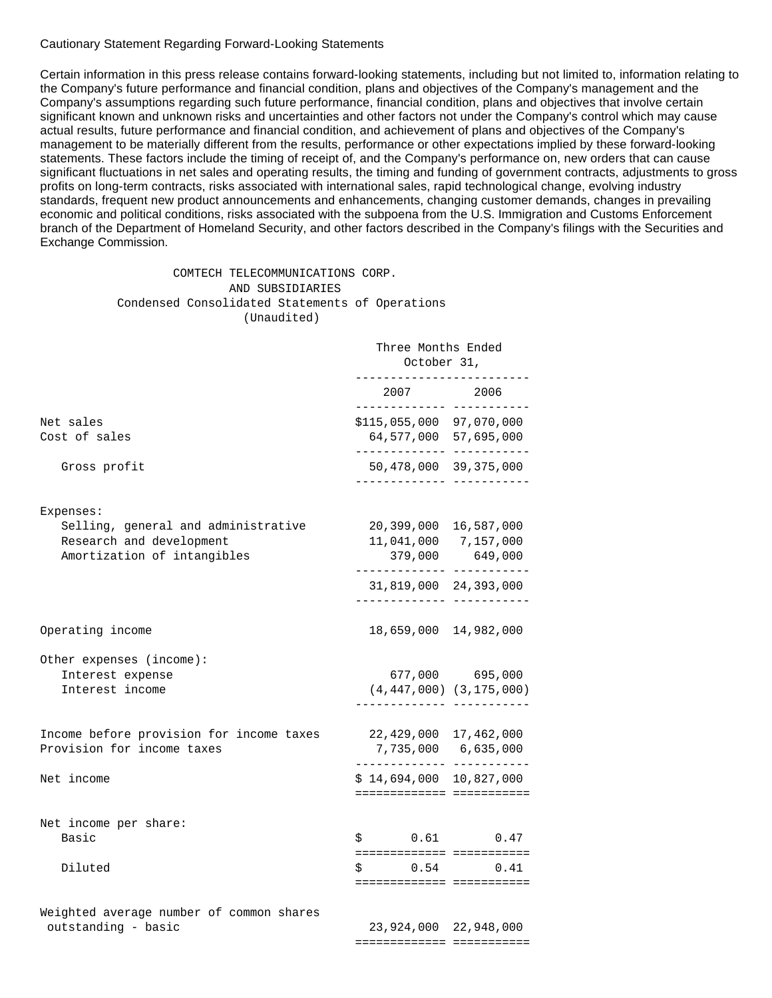Cautionary Statement Regarding Forward-Looking Statements

Certain information in this press release contains forward-looking statements, including but not limited to, information relating to the Company's future performance and financial condition, plans and objectives of the Company's management and the Company's assumptions regarding such future performance, financial condition, plans and objectives that involve certain significant known and unknown risks and uncertainties and other factors not under the Company's control which may cause actual results, future performance and financial condition, and achievement of plans and objectives of the Company's management to be materially different from the results, performance or other expectations implied by these forward-looking statements. These factors include the timing of receipt of, and the Company's performance on, new orders that can cause significant fluctuations in net sales and operating results, the timing and funding of government contracts, adjustments to gross profits on long-term contracts, risks associated with international sales, rapid technological change, evolving industry standards, frequent new product announcements and enhancements, changing customer demands, changes in prevailing economic and political conditions, risks associated with the subpoena from the U.S. Immigration and Customs Enforcement branch of the Department of Homeland Security, and other factors described in the Company's filings with the Securities and Exchange Commission.

============== ===========

### COMTECH TELECOMMUNICATIONS CORP. AND SUBSIDIARIES Condensed Consolidated Statements of Operations (Unaudited)

|                                                                                                | Three Months Ended<br>October 31,<br>___________________ |                                                                           |
|------------------------------------------------------------------------------------------------|----------------------------------------------------------|---------------------------------------------------------------------------|
|                                                                                                | -------------- ----------                                | 2007 2006                                                                 |
| Net sales<br>Cost of sales                                                                     | \$115,055,000 97,070,000<br>------------- ----------     | 64,577,000 57,695,000                                                     |
| Gross profit                                                                                   |                                                          | 50,478,000 39,375,000                                                     |
| Expenses:                                                                                      |                                                          |                                                                           |
| Selling, general and administrative<br>Research and development<br>Amortization of intangibles |                                                          | 20,399,000 16,587,000<br>11,041,000 7,157,000<br>379,000 649,000          |
|                                                                                                |                                                          | 31,819,000 24,393,000                                                     |
| Operating income                                                                               |                                                          | 18,659,000 14,982,000                                                     |
| Other expenses (income):<br>Interest expense<br>Interest income                                |                                                          | 677,000 695,000<br>$(4, 447, 000)$ $(3, 175, 000)$                        |
| Income before provision for income taxes<br>Provision for income taxes                         |                                                          | 22,429,000 17,462,000<br>7,735,000 6,635,000<br>------------- ----------- |
| Net income                                                                                     | $$14,694,000$ 10,827,000                                 | =========================                                                 |
| Net income per share:<br>Basic                                                                 | $$0.61$ 0.47                                             |                                                                           |
| Diluted                                                                                        | $$0.54$ 0.41                                             | ==========================<br>==========================                  |
| Weighted average number of common shares<br>outstanding - basic                                |                                                          | 23,924,000 22,948,000                                                     |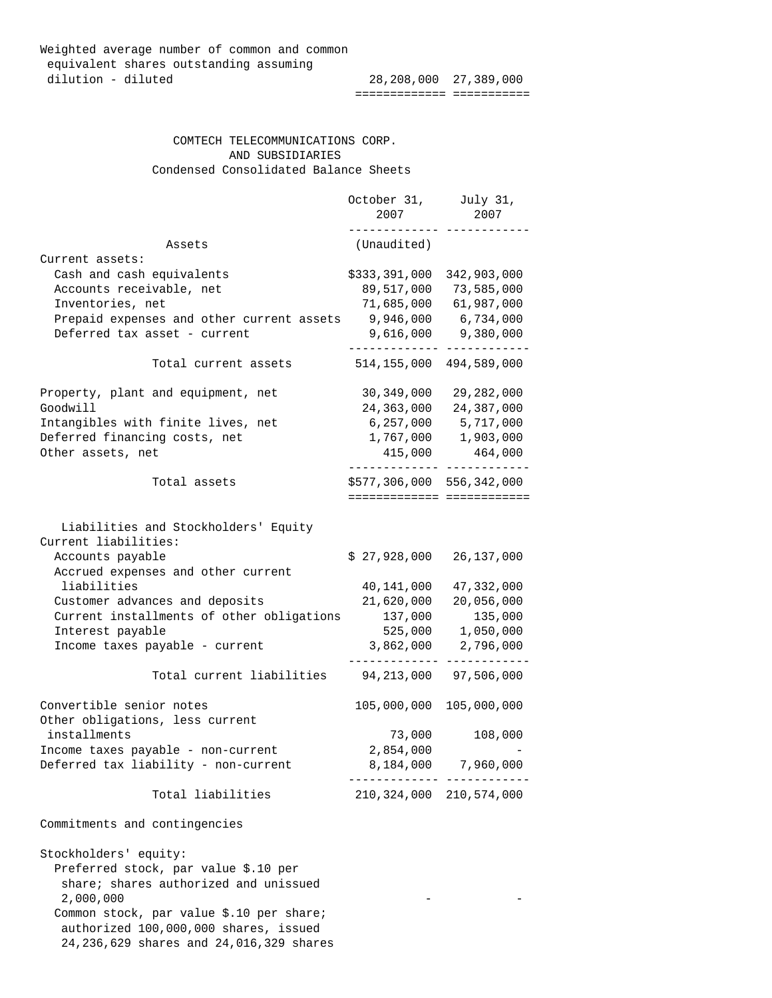| Weighted average number of common and common |                       |  |
|----------------------------------------------|-----------------------|--|
| equivalent shares outstanding assuming       |                       |  |
| dilution - diluted                           | 28,208,000 27,389,000 |  |
|                                              |                       |  |

 COMTECH TELECOMMUNICATIONS CORP. AND SUBSIDIARIES Condensed Consolidated Balance Sheets

|                                                              | October 31,<br>2007         | July 31,<br>2007 |
|--------------------------------------------------------------|-----------------------------|------------------|
| Assets                                                       | (Unaudited)                 |                  |
| Current assets:                                              |                             |                  |
| Cash and cash equivalents                                    | \$333,391,000               | 342,903,000      |
| Accounts receivable, net                                     | 89,517,000                  | 73,585,000       |
| Inventories, net                                             | 71,685,000                  | 61,987,000       |
| Prepaid expenses and other current assets                    | 9,946,000                   | 6,734,000        |
| Deferred tax asset - current                                 | 9,616,000                   | 9,380,000        |
| Total current assets                                         | 514,155,000                 | 494,589,000      |
| Property, plant and equipment, net                           | 30,349,000                  | 29,282,000       |
| Goodwill                                                     | 24,363,000                  | 24,387,000       |
| Intangibles with finite lives, net                           | 6,257,000                   | 5,717,000        |
| Deferred financing costs, net                                | 1,767,000                   | 1,903,000        |
| Other assets, net                                            | 415,000                     | 464,000          |
| Total assets                                                 | \$577,306,000 556,342,000   |                  |
|                                                              | =========================== |                  |
| Liabilities and Stockholders' Equity<br>Current liabilities: |                             |                  |
| Accounts payable                                             | \$27,928,000                | 26,137,000       |
| Accrued expenses and other current                           |                             |                  |
| liabilities                                                  | 40,141,000                  | 47,332,000       |
| Customer advances and deposits                               | 21,620,000                  | 20,056,000       |
| Current installments of other obligations                    | 137,000                     | 135,000          |
| Interest payable                                             | 525,000                     | 1,050,000        |
| Income taxes payable - current                               | 3,862,000                   | 2,796,000        |
|                                                              |                             |                  |
| Total current liabilities                                    | 94, 213, 000                | 97,506,000       |
| Convertible senior notes                                     | 105,000,000                 | 105,000,000      |
| Other obligations, less current                              |                             |                  |
| installments                                                 | 73,000                      | 108,000          |
| Income taxes payable - non-current                           | 2,854,000                   |                  |
| Deferred tax liability - non-current                         | 8,184,000                   | 7,960,000        |
| Total liabilities                                            | 210,324,000                 | 210,574,000      |
| Commitments and contingencies                                |                             |                  |
| Stockholders' equity:                                        |                             |                  |
| Preferred stock, par value \$.10 per                         |                             |                  |
| share; shares authorized and unissued                        |                             |                  |
| 2,000,000                                                    |                             |                  |

 Common stock, par value \$.10 per share; authorized 100,000,000 shares, issued 24,236,629 shares and 24,016,329 shares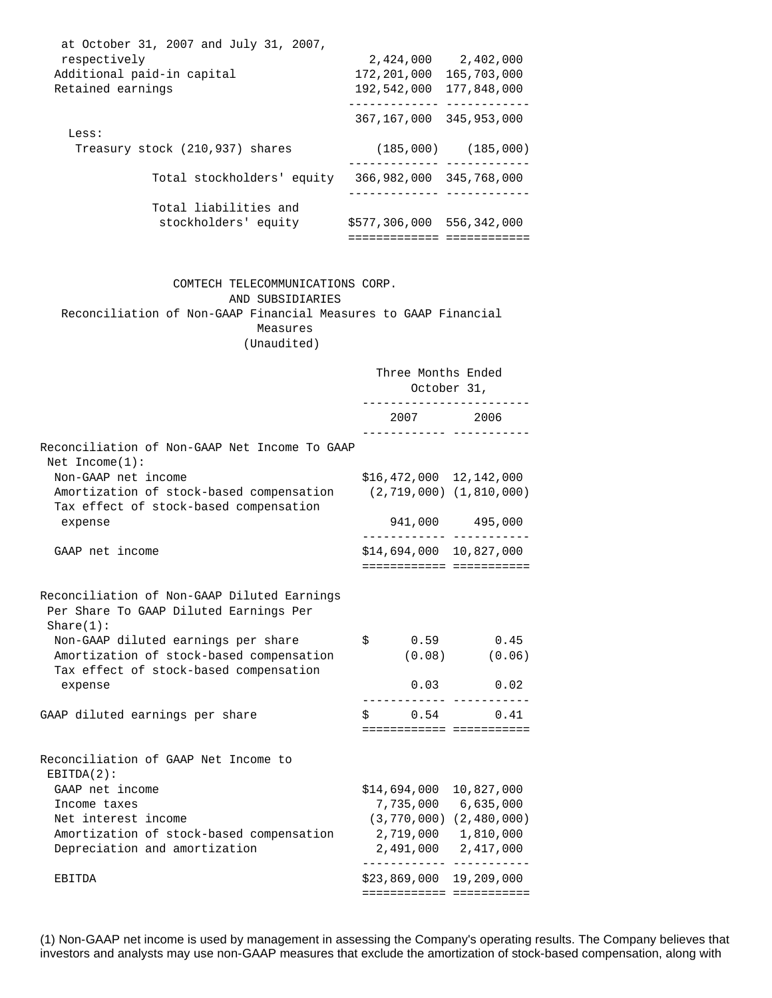| at October 31, 2007 and July 31, 2007, |                         |             |
|----------------------------------------|-------------------------|-------------|
| respectively                           | 2,424,000               | 2,402,000   |
| Additional paid-in capital             | 172,201,000             | 165,703,000 |
| Retained earnings                      | 192,542,000             | 177,848,000 |
|                                        |                         |             |
|                                        | 367,167,000             | 345,953,000 |
| Less:                                  |                         |             |
| Treasury stock (210,937) shares        | (185,000)               | (185,000)   |
|                                        |                         |             |
| Total stockholders' equity             | 366,982,000 345,768,000 |             |
|                                        |                         |             |
| Total liabilities and                  |                         |             |
| stockholders' equity                   | \$577,306,000           | 556,342,000 |
|                                        |                         |             |

 COMTECH TELECOMMUNICATIONS CORP. AND SUBSIDIARIES Reconciliation of Non-GAAP Financial Measures to GAAP Financial Measures

(Unaudited)

|                                                                                                                                      | Three Months Ended<br>October 31, |  |                                                                                                                                                             |
|--------------------------------------------------------------------------------------------------------------------------------------|-----------------------------------|--|-------------------------------------------------------------------------------------------------------------------------------------------------------------|
|                                                                                                                                      |                                   |  | 2007 2006                                                                                                                                                   |
| Reconciliation of Non-GAAP Net Income To GAAP<br>Net $Income(1)$ :                                                                   |                                   |  |                                                                                                                                                             |
| Non-GAAP net income<br>Amortization of stock-based compensation<br>Tax effect of stock-based compensation<br>expense                 |                                   |  | $$16,472,000$ $12,142,000$<br>$(2, 719, 000)$ $(1, 810, 000)$                                                                                               |
|                                                                                                                                      |                                   |  | 941,000 495,000<br>_____________ ___________                                                                                                                |
| GAAP net income                                                                                                                      |                                   |  | \$14,694,000 10,827,000<br>========================                                                                                                         |
| Reconciliation of Non-GAAP Diluted Earnings<br>Per Share To GAAP Diluted Earnings Per<br>Share(1):                                   |                                   |  |                                                                                                                                                             |
| Non-GAAP diluted earnings per share<br>Amortization of stock-based compensation<br>Tax effect of stock-based compensation<br>expense |                                   |  | $$0.59$ 0.45<br>$(0.08)$ $(0.06)$<br>$0.03$ $0.02$                                                                                                          |
| GAAP diluted earnings per share                                                                                                      |                                   |  | $$0.54$ 0.41<br>=========================                                                                                                                   |
| Reconciliation of GAAP Net Income to<br>$EBITDA(2)$ :                                                                                |                                   |  |                                                                                                                                                             |
| GAAP net income<br>Income taxes<br>Net interest income<br>Amortization of stock-based compensation<br>Depreciation and amortization  |                                   |  | \$14,694,000 10,827,000<br>7,735,000 6,635,000<br>$(3, 770, 000)$ $(2, 480, 000)$<br>2,719,000 1,810,000<br>2,491,000 2,417,000<br>____________ ___________ |
| EBITDA                                                                                                                               |                                   |  | $$23,869,000$ 19,209,000                                                                                                                                    |

(1) Non-GAAP net income is used by management in assessing the Company's operating results. The Company believes that investors and analysts may use non-GAAP measures that exclude the amortization of stock-based compensation, along with